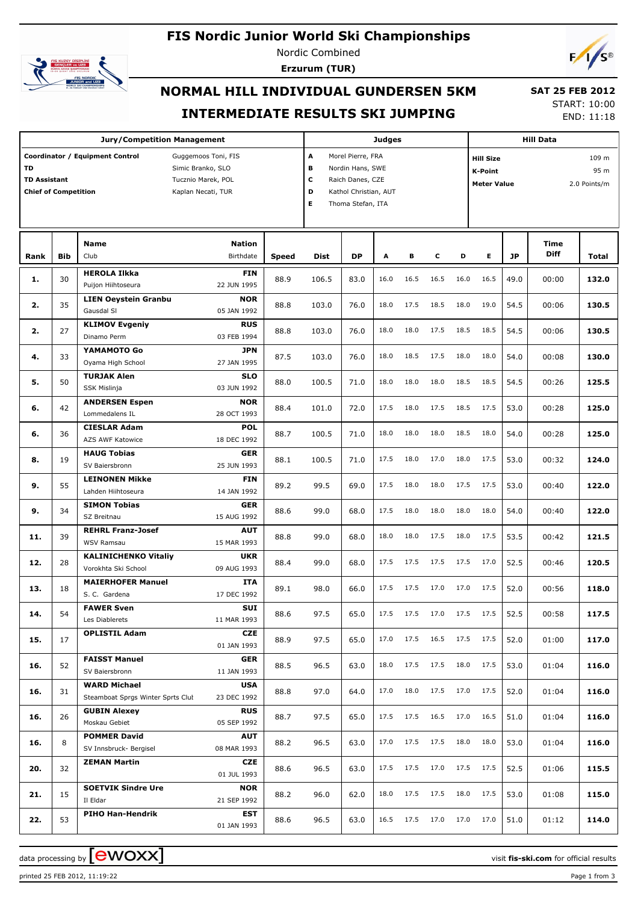# **FIS Nordic Junior World Ski Championships**



Nordic Combined **Erzurum (TUR)**



# **NORMAL HILL INDIVIDUAL GUNDERSEN 5KM INTERMEDIATE RESULTS SKI JUMPING**

 **SAT 25 FEB 2012** START: 10:00 END: 11:18

|                                                          |            | <b>Jury/Competition Management</b>                                                                                      |              |                                                                                                                                   |           | Judges |      |      |      | <b>Hill Data</b>                                         |      |                     |                               |
|----------------------------------------------------------|------------|-------------------------------------------------------------------------------------------------------------------------|--------------|-----------------------------------------------------------------------------------------------------------------------------------|-----------|--------|------|------|------|----------------------------------------------------------|------|---------------------|-------------------------------|
| TD<br><b>TD Assistant</b><br><b>Chief of Competition</b> |            | Coordinator / Equipment Control<br>Guggemoos Toni, FIS<br>Simic Branko, SLO<br>Tucznio Marek, POL<br>Kaplan Necati, TUR |              | A<br>Morel Pierre, FRA<br>в<br>Nordin Hans, SWE<br>с<br>Raich Danes, CZE<br>D<br>Kathol Christian, AUT<br>E.<br>Thoma Stefan, ITA |           |        |      |      |      | <b>Hill Size</b><br><b>K-Point</b><br><b>Meter Value</b> |      |                     | 109 m<br>95 m<br>2.0 Points/m |
| Rank                                                     | <b>Bib</b> | Name<br>Nation<br>Birthdate<br>Club                                                                                     | <b>Speed</b> | <b>Dist</b>                                                                                                                       | <b>DP</b> | A      | в    | c    | D    | Е                                                        | JP   | Time<br><b>Diff</b> | Total                         |
| 1.                                                       | 30         | <b>HEROLA Ilkka</b><br><b>FIN</b><br>Puijon Hiihtoseura<br>22 JUN 1995                                                  | 88.9         | 106.5                                                                                                                             | 83.0      | 16.0   | 16.5 | 16.5 | 16.0 | 16.5                                                     | 49.0 | 00:00               | 132.0                         |
| 2.                                                       | 35         | <b>LIEN Oeystein Granbu</b><br><b>NOR</b><br>Gausdal SI<br>05 JAN 1992                                                  | 88.8         | 103.0                                                                                                                             | 76.0      | 18.0   | 17.5 | 18.5 | 18.0 | 19.0                                                     | 54.5 | 00:06               | 130.5                         |
| 2.                                                       | 27         | <b>KLIMOV Evgeniy</b><br><b>RUS</b><br>Dinamo Perm<br>03 FEB 1994                                                       | 88.8         | 103.0                                                                                                                             | 76.0      | 18.0   | 18.0 | 17.5 | 18.5 | 18.5                                                     | 54.5 | 00:06               | 130.5                         |
| 4.                                                       | 33         | YAMAMOTO Go<br>JPN<br>Oyama High School<br>27 JAN 1995                                                                  | 87.5         | 103.0                                                                                                                             | 76.0      | 18.0   | 18.5 | 17.5 | 18.0 | 18.0                                                     | 54.0 | 00:08               | 130.0                         |
| 5.                                                       | 50         | <b>TURJAK Alen</b><br><b>SLO</b><br><b>SSK Mislinja</b><br>03 JUN 1992                                                  | 88.0         | 100.5                                                                                                                             | 71.0      | 18.0   | 18.0 | 18.0 | 18.5 | 18.5                                                     | 54.5 | 00:26               | 125.5                         |
| 6.                                                       | 42         | <b>ANDERSEN Espen</b><br><b>NOR</b><br>Lommedalens IL<br>28 OCT 1993                                                    | 88.4         | 101.0                                                                                                                             | 72.0      | 17.5   | 18.0 | 17.5 | 18.5 | 17.5                                                     | 53.0 | 00:28               | 125.0                         |
| 6.                                                       | 36         | <b>CIESLAR Adam</b><br><b>POL</b><br><b>AZS AWF Katowice</b><br>18 DEC 1992                                             | 88.7         | 100.5                                                                                                                             | 71.0      | 18.0   | 18.0 | 18.0 | 18.5 | 18.0                                                     | 54.0 | 00:28               | 125.0                         |
| 8.                                                       | 19         | <b>HAUG Tobias</b><br>GER<br>SV Baiersbronn<br>25 JUN 1993                                                              | 88.1         | 100.5                                                                                                                             | 71.0      | 17.5   | 18.0 | 17.0 | 18.0 | 17.5                                                     | 53.0 | 00:32               | 124.0                         |
| 9.                                                       | 55         | <b>LEINONEN Mikke</b><br><b>FIN</b><br>Lahden Hiihtoseura<br>14 JAN 1992                                                | 89.2         | 99.5                                                                                                                              | 69.0      | 17.5   | 18.0 | 18.0 | 17.5 | 17.5                                                     | 53.0 | 00:40               | 122.0                         |
| 9.                                                       | 34         | <b>SIMON Tobias</b><br>GER<br>SZ Breitnau<br>15 AUG 1992                                                                | 88.6         | 99.0                                                                                                                              | 68.0      | 17.5   | 18.0 | 18.0 | 18.0 | 18.0                                                     | 54.0 | 00:40               | 122.0                         |
| 11.                                                      | 39         | <b>REHRL Franz-Josef</b><br><b>AUT</b><br><b>WSV Ramsau</b><br>15 MAR 1993                                              | 88.8         | 99.0                                                                                                                              | 68.0      | 18.0   | 18.0 | 17.5 | 18.0 | 17.5                                                     | 53.5 | 00:42               | 121.5                         |
| 12.                                                      | 28         | <b>KALINICHENKO Vitaliy</b><br><b>UKR</b><br>Vorokhta Ski School<br>09 AUG 1993                                         | 88.4         | 99.0                                                                                                                              | 68.0      | 17.5   | 17.5 | 17.5 | 17.5 | 17.0                                                     | 52.5 | 00:46               | 120.5                         |
| 13.                                                      | 18         | <b>MAIERHOFER Manuel</b><br>ITA<br>17 DEC 1992<br>S. C. Gardena                                                         | 89.1         | 98.0                                                                                                                              | 66.0      | 17.5   | 17.5 | 17.0 | 17.0 | 17.5                                                     | 52.0 | 00:56               | 118.0                         |
| 14.                                                      | 54         | <b>SUI</b><br><b>FAWER Sven</b><br>Les Diablerets<br>11 MAR 1993                                                        | 88.6         | 97.5                                                                                                                              | 65.0      | 17.5   | 17.5 | 17.0 |      | 17.5 17.5                                                | 52.5 | 00:58               | 117.5                         |
| 15.                                                      | 17         | <b>OPLISTIL Adam</b><br>CZE<br>01 JAN 1993                                                                              | 88.9         | 97.5                                                                                                                              | 65.0      | 17.0   | 17.5 | 16.5 |      | 17.5 17.5                                                | 52.0 | 01:00               | 117.0                         |
| 16.                                                      | 52         | <b>FAISST Manuel</b><br>GER<br>SV Baiersbronn<br>11 JAN 1993                                                            | 88.5         | 96.5                                                                                                                              | 63.0      | 18.0   | 17.5 | 17.5 | 18.0 | 17.5                                                     | 53.0 | 01:04               | 116.0                         |
| 16.                                                      | 31         | <b>WARD Michael</b><br><b>USA</b><br>Steamboat Sprgs Winter Sprts Clut<br>23 DEC 1992                                   | 88.8         | 97.0                                                                                                                              | 64.0      | 17.0   | 18.0 | 17.5 |      | 17.0 17.5                                                | 52.0 | 01:04               | 116.0                         |
| 16.                                                      | 26         | <b>GUBIN Alexey</b><br><b>RUS</b><br>Moskau Gebiet<br>05 SEP 1992                                                       | 88.7         | 97.5                                                                                                                              | 65.0      | 17.5   | 17.5 | 16.5 |      | 17.0 16.5                                                | 51.0 | 01:04               | 116.0                         |
| 16.                                                      | 8          | <b>POMMER David</b><br>AUT<br>SV Innsbruck- Bergisel<br>08 MAR 1993                                                     | 88.2         | 96.5                                                                                                                              | 63.0      | 17.0   | 17.5 | 17.5 | 18.0 | 18.0                                                     | 53.0 | 01:04               | 116.0                         |
| 20.                                                      | 32         | CZE<br><b>ZEMAN Martin</b><br>01 JUL 1993                                                                               | 88.6         | 96.5                                                                                                                              | 63.0      | 17.5   | 17.5 | 17.0 |      | 17.5 17.5                                                | 52.5 | 01:06               | 115.5                         |
| 21.                                                      | 15         | <b>SOETVIK Sindre Ure</b><br><b>NOR</b><br>Il Eldar<br>21 SEP 1992                                                      | 88.2         | 96.0                                                                                                                              | 62.0      | 18.0   | 17.5 | 17.5 | 18.0 | 17.5                                                     | 53.0 | 01:08               | 115.0                         |
| 22.                                                      | 53         | <b>PIHO Han-Hendrik</b><br>EST<br>01 JAN 1993                                                                           | 88.6         | 96.5                                                                                                                              | 63.0      | 16.5   | 17.5 | 17.0 |      | 17.0 17.0                                                | 51.0 | 01:12               | 114.0                         |

data processing by **CWOXX**  $\blacksquare$  and  $\blacksquare$  and  $\blacksquare$  and  $\blacksquare$  and  $\blacksquare$  and  $\blacksquare$  and  $\blacksquare$  and  $\blacksquare$  and  $\blacksquare$  and  $\blacksquare$  and  $\blacksquare$  and  $\blacksquare$  and  $\blacksquare$  and  $\blacksquare$  and  $\blacksquare$  and  $\blacksquare$  and  $\blacksquare$  and  $\blacksquare$  a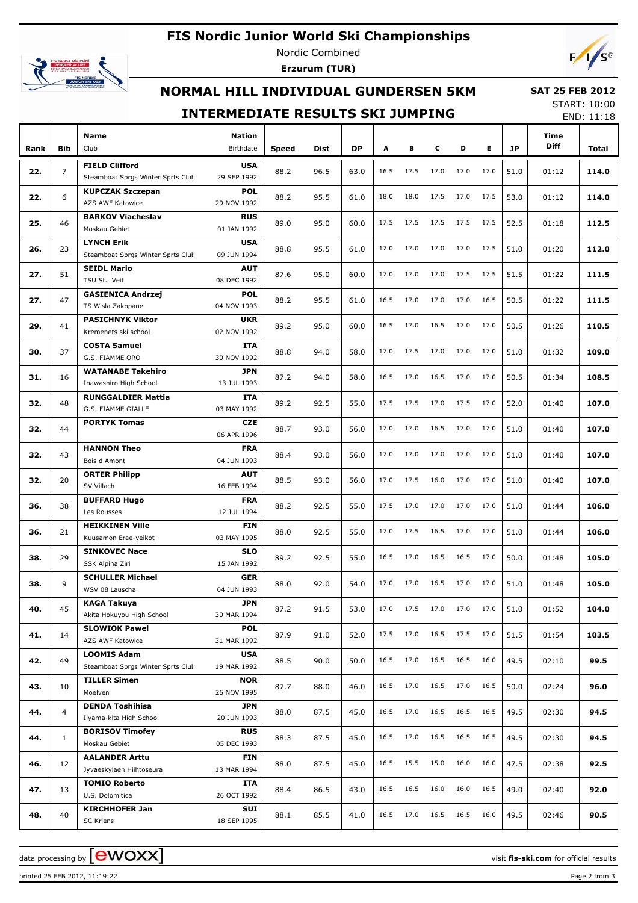## **FIS Nordic Junior World Ski Championships**



Nordic Combined **Erzurum (TUR)**



#### **NORMAL HILL INDIVIDUAL GUNDERSEN 5KM**

 **SAT 25 FEB 2012**

|      |                |                                                            | <b>INTERMEDIATE RESULTS SKI JUMPING</b> |              |             |           |      |      |      |      |      |           |                            | <b>START: 10:00</b><br>END: 11:18 |
|------|----------------|------------------------------------------------------------|-----------------------------------------|--------------|-------------|-----------|------|------|------|------|------|-----------|----------------------------|-----------------------------------|
| Rank | <b>Bib</b>     | <b>Name</b><br>Club                                        | <b>Nation</b><br>Birthdate              | <b>Speed</b> | <b>Dist</b> | <b>DP</b> | A    | в    | c    | D    | Е    | <b>JP</b> | <b>Time</b><br><b>Diff</b> | Total                             |
|      |                |                                                            |                                         |              |             |           |      |      |      |      |      |           |                            |                                   |
| 22.  | $\overline{7}$ | <b>FIELD Clifford</b><br>Steamboat Sprgs Winter Sprts Clut | <b>USA</b><br>29 SEP 1992               | 88.2         | 96.5        | 63.0      | 16.5 | 17.5 | 17.0 | 17.0 | 17.0 | 51.0      | 01:12                      | 114.0                             |
| 22.  | 6              | <b>KUPCZAK Szczepan</b><br>AZS AWF Katowice                | <b>POL</b><br>29 NOV 1992               | 88.2         | 95.5        | 61.0      | 18.0 | 18.0 | 17.5 | 17.0 | 17.5 | 53.0      | 01:12                      | 114.0                             |
| 25.  | 46             | <b>BARKOV Viacheslav</b><br>Moskau Gebiet                  | <b>RUS</b><br>01 JAN 1992               | 89.0         | 95.0        | 60.0      | 17.5 | 17.5 | 17.5 | 17.5 | 17.5 | 52.5      | 01:18                      | 112.5                             |
| 26.  | 23             | <b>LYNCH Erik</b><br>Steamboat Sprgs Winter Sprts Clut     | <b>USA</b><br>09 JUN 1994               | 88.8         | 95.5        | 61.0      | 17.0 | 17.0 | 17.0 | 17.0 | 17.5 | 51.0      | 01:20                      | 112.0                             |
| 27.  | 51             | <b>SEIDL Mario</b><br>TSU St. Veit                         | <b>AUT</b><br>08 DEC 1992               | 87.6         | 95.0        | 60.0      | 17.0 | 17.0 | 17.0 | 17.5 | 17.5 | 51.5      | 01:22                      | 111.5                             |
| 27.  | 47             | <b>GASIENICA Andrzei</b><br>TS Wisla Zakopane              | <b>POL</b><br>04 NOV 1993               | 88.2         | 95.5        | 61.0      | 16.5 | 17.0 | 17.0 | 17.0 | 16.5 | 50.5      | 01:22                      | 111.5                             |
| 29.  | 41             | <b>PASICHNYK Viktor</b><br>Kremenets ski school            | <b>UKR</b><br>02 NOV 1992               | 89.2         | 95.0        | 60.0      | 16.5 | 17.0 | 16.5 | 17.0 | 17.0 | 50.5      | 01:26                      | 110.5                             |
| 30.  | 37             | <b>COSTA Samuel</b><br>G.S. FIAMME ORO                     | <b>ITA</b><br>30 NOV 1992               | 88.8         | 94.0        | 58.0      | 17.0 | 17.5 | 17.0 | 17.0 | 17.0 | 51.0      | 01:32                      | 109.0                             |
| 31.  | 16             | <b>WATANABE Takehiro</b><br>Inawashiro High School         | <b>JPN</b><br>13 JUL 1993               | 87.2         | 94.0        | 58.0      | 16.5 | 17.0 | 16.5 | 17.0 | 17.0 | 50.5      | 01:34                      | 108.5                             |
| 32.  | 48             | <b>RUNGGALDIER Mattia</b><br>G.S. FIAMME GIALLE            | <b>ITA</b><br>03 MAY 1992               | 89.2         | 92.5        | 55.0      | 17.5 | 17.5 | 17.0 | 17.5 | 17.0 | 52.0      | 01:40                      | 107.0                             |
| 32.  | 44             | <b>PORTYK Tomas</b>                                        | <b>CZE</b><br>06 APR 1996               | 88.7         | 93.0        | 56.0      | 17.0 | 17.0 | 16.5 | 17.0 | 17.0 | 51.0      | 01:40                      | 107.0                             |
| 32.  | 43             | <b>HANNON Theo</b><br>Bois d Amont                         | <b>FRA</b><br>04 JUN 1993               | 88.4         | 93.0        | 56.0      | 17.0 | 17.0 | 17.0 | 17.0 | 17.0 | 51.0      | 01:40                      | 107.0                             |
| 32.  | 20             | <b>ORTER Philipp</b><br>SV Villach                         | <b>AUT</b><br>16 FEB 1994               | 88.5         | 93.0        | 56.0      | 17.0 | 17.5 | 16.0 | 17.0 | 17.0 | 51.0      | 01:40                      | 107.0                             |
| 36.  | 38             | <b>BUFFARD Hugo</b>                                        | <b>FRA</b>                              | 88.2         | 92.5        | 55.0      | 17.5 | 17.0 | 17.0 | 17.0 | 17.0 | 51.0      | 01:44                      | 106.0                             |

| G.S. FIAMME ORO<br>30 NOV 1992<br><b>WATANABE Takehiro</b><br><b>JPN</b><br>50.5<br>31.<br>87.2<br>94.0<br>58.0<br>16.5<br>17.0<br>16.5<br>17.0<br>17.0<br>01:34<br>108.5<br>16<br>Inawashiro High School<br>13 JUL 1993<br><b>RUNGGALDIER Mattia</b><br>ITA<br>17.0<br>17.5<br>32.<br>89.2<br>92.5<br>55.0<br>17.5<br>17.5<br>17.0<br>52.0<br>107.0<br>48<br>01:40<br>G.S. FIAMME GIALLE<br>03 MAY 1992<br><b>PORTYK Tomas</b><br><b>CZE</b><br>93.0<br>17.0<br>17.0<br>16.5<br>17.0<br>17.0<br>107.0<br>32.<br>44<br>88.7<br>56.0<br>51.0<br>01:40<br>06 APR 1996<br><b>FRA</b><br><b>HANNON Theo</b><br>88.4<br>93.0<br>17.0<br>17.0<br>17.0<br>17.0<br>17.0<br>51.0<br>107.0<br>32.<br>43<br>56.0<br>01:40<br>04 JUN 1993<br>Bois d Amont<br><b>ORTER Philipp</b><br><b>AUT</b><br>32.<br>20<br>88.5<br>93.0<br>56.0<br>17.0<br>17.5<br>16.0<br>17.0<br>17.0<br>51.0<br>01:40<br>107.0<br>SV Villach<br>16 FEB 1994<br><b>BUFFARD Hugo</b><br><b>FRA</b><br>88.2<br>92.5<br>55.0<br>17.5<br>17.0<br>17.0<br>17.0<br>51.0<br>36.<br>38<br>17.0<br>01:44<br>106.0<br>12 JUL 1994<br>Les Rousses<br><b>HEIKKINEN Ville</b><br><b>FIN</b><br>36.<br>21<br>88.0<br>92.5<br>55.0<br>17.0<br>17.5<br>16.5<br>17.0<br>17.0<br>51.0<br>01:44<br>106.0<br>03 MAY 1995<br>Kuusamon Erae-veikot<br><b>SINKOVEC Nace</b><br><b>SLO</b><br>38.<br>29<br>89.2<br>92.5<br>55.0<br>16.5<br>17.0<br>16.5<br>16.5<br>17.0<br>50.0<br>01:48<br>105.0<br>15 JAN 1992<br>SSK Alpina Ziri<br><b>SCHULLER Michael</b><br><b>GER</b><br>9<br>88.0<br>92.0<br>54.0<br>17.0<br>17.0<br>16.5<br>17.0<br>17.0<br>51.0<br>105.0<br>38.<br>01:48<br>04 JUN 1993<br>WSV 08 Lauscha<br><b>KAGA Takuya</b><br><b>JPN</b><br>17.0<br>17.5<br>17.0<br>17.0<br>17.0<br>40.<br>45<br>87.2<br>91.5<br>53.0<br>51.0<br>01:52<br>104.0<br>Akita Hokuyou High School<br>30 MAR 1994<br><b>SLOWIOK Pawel</b><br><b>POL</b><br>17.5<br>17.0<br>16.5<br>41.<br>14<br>87.9<br>91.0<br>52.0<br>17.5<br>17.0<br>51.5<br>01:54<br>103.5<br><b>AZS AWF Katowice</b><br>31 MAR 1992<br><b>LOOMIS Adam</b><br><b>USA</b><br>16.5<br>16.5<br>49.5<br>42.<br>49<br>88.5<br>90.0<br>50.0<br>17.0<br>16.5<br>16.0<br>02:10<br>99.5<br>Steamboat Sprgs Winter Sprts Clut<br>19 MAR 1992<br><b>TILLER Simen</b><br><b>NOR</b><br>16.5<br>17.0<br>16.5<br>17.0<br>16.5<br>43.<br>10<br>87.7<br>88.0<br>46.0<br>50.0<br>02:24<br>96.0<br>26 NOV 1995<br>Moelven<br><b>DENDA Toshihisa</b><br><b>JPN</b><br>16.5<br>17.0<br>16.5<br>16.5<br>16.5<br>49.5<br>44.<br>88.0<br>87.5<br>45.0<br>02:30<br>94.5<br>4<br>20 JUN 1993<br>Iiyama-kita High School<br><b>BORISOV Timofey</b><br><b>RUS</b><br>16.5<br>17.0<br>16.5<br>16.5<br>88.3<br>87.5<br>45.0<br>16.5<br>49.5<br>02:30<br>94.5<br>44.<br>$\mathbf{1}$<br>Moskau Gebiet<br>05 DEC 1993<br><b>AALANDER Arttu</b><br><b>FIN</b><br>16.5<br>15.5<br>15.0<br>16.0<br>45.0<br>16.0<br>47.5<br>92.5<br>46.<br>12<br>88.0<br>87.5<br>02:38<br>Jyvaeskylaen Hiihtoseura<br>13 MAR 1994<br><b>TOMIO Roberto</b><br><b>ITA</b><br>16.5<br>16.5<br>16.0<br>16.0<br>16.5<br>92.0<br>47.<br>13<br>88.4<br>86.5<br>43.0<br>49.0<br>02:40<br>26 OCT 1992<br>U.S. Dolomitica<br><b>KIRCHHOFER Jan</b><br>SUI<br>16.5<br>16.5<br>17.0<br>16.5<br>16.0<br>48.<br>88.1<br>85.5<br>49.5<br>90.5<br>40<br>41.0<br>02:46<br>18 SEP 1995<br><b>SC Kriens</b> | 30. | 37 | <b>COSTA Samuel</b> | ITA | 88.8 | 94.0 | 58.0 | 17.0 | 17.5 | 17.0 | 17.0 | 17.0 | 51.0 |       | 109.0 |
|---------------------------------------------------------------------------------------------------------------------------------------------------------------------------------------------------------------------------------------------------------------------------------------------------------------------------------------------------------------------------------------------------------------------------------------------------------------------------------------------------------------------------------------------------------------------------------------------------------------------------------------------------------------------------------------------------------------------------------------------------------------------------------------------------------------------------------------------------------------------------------------------------------------------------------------------------------------------------------------------------------------------------------------------------------------------------------------------------------------------------------------------------------------------------------------------------------------------------------------------------------------------------------------------------------------------------------------------------------------------------------------------------------------------------------------------------------------------------------------------------------------------------------------------------------------------------------------------------------------------------------------------------------------------------------------------------------------------------------------------------------------------------------------------------------------------------------------------------------------------------------------------------------------------------------------------------------------------------------------------------------------------------------------------------------------------------------------------------------------------------------------------------------------------------------------------------------------------------------------------------------------------------------------------------------------------------------------------------------------------------------------------------------------------------------------------------------------------------------------------------------------------------------------------------------------------------------------------------------------------------------------------------------------------------------------------------------------------------------------------------------------------------------------------------------------------------------------------------------------------------------------------------------------------------------------------------------------------------------------------------------------------------------------------------------------------------------------------------------------------------------------------------------------------------------------------------------------------------------------------------------------------------------------------------------------------------------------|-----|----|---------------------|-----|------|------|------|------|------|------|------|------|------|-------|-------|
|                                                                                                                                                                                                                                                                                                                                                                                                                                                                                                                                                                                                                                                                                                                                                                                                                                                                                                                                                                                                                                                                                                                                                                                                                                                                                                                                                                                                                                                                                                                                                                                                                                                                                                                                                                                                                                                                                                                                                                                                                                                                                                                                                                                                                                                                                                                                                                                                                                                                                                                                                                                                                                                                                                                                                                                                                                                                                                                                                                                                                                                                                                                                                                                                                                                                                                                                       |     |    |                     |     |      |      |      |      |      |      |      |      |      | 01:32 |       |
|                                                                                                                                                                                                                                                                                                                                                                                                                                                                                                                                                                                                                                                                                                                                                                                                                                                                                                                                                                                                                                                                                                                                                                                                                                                                                                                                                                                                                                                                                                                                                                                                                                                                                                                                                                                                                                                                                                                                                                                                                                                                                                                                                                                                                                                                                                                                                                                                                                                                                                                                                                                                                                                                                                                                                                                                                                                                                                                                                                                                                                                                                                                                                                                                                                                                                                                                       |     |    |                     |     |      |      |      |      |      |      |      |      |      |       |       |
|                                                                                                                                                                                                                                                                                                                                                                                                                                                                                                                                                                                                                                                                                                                                                                                                                                                                                                                                                                                                                                                                                                                                                                                                                                                                                                                                                                                                                                                                                                                                                                                                                                                                                                                                                                                                                                                                                                                                                                                                                                                                                                                                                                                                                                                                                                                                                                                                                                                                                                                                                                                                                                                                                                                                                                                                                                                                                                                                                                                                                                                                                                                                                                                                                                                                                                                                       |     |    |                     |     |      |      |      |      |      |      |      |      |      |       |       |
|                                                                                                                                                                                                                                                                                                                                                                                                                                                                                                                                                                                                                                                                                                                                                                                                                                                                                                                                                                                                                                                                                                                                                                                                                                                                                                                                                                                                                                                                                                                                                                                                                                                                                                                                                                                                                                                                                                                                                                                                                                                                                                                                                                                                                                                                                                                                                                                                                                                                                                                                                                                                                                                                                                                                                                                                                                                                                                                                                                                                                                                                                                                                                                                                                                                                                                                                       |     |    |                     |     |      |      |      |      |      |      |      |      |      |       |       |
|                                                                                                                                                                                                                                                                                                                                                                                                                                                                                                                                                                                                                                                                                                                                                                                                                                                                                                                                                                                                                                                                                                                                                                                                                                                                                                                                                                                                                                                                                                                                                                                                                                                                                                                                                                                                                                                                                                                                                                                                                                                                                                                                                                                                                                                                                                                                                                                                                                                                                                                                                                                                                                                                                                                                                                                                                                                                                                                                                                                                                                                                                                                                                                                                                                                                                                                                       |     |    |                     |     |      |      |      |      |      |      |      |      |      |       |       |
|                                                                                                                                                                                                                                                                                                                                                                                                                                                                                                                                                                                                                                                                                                                                                                                                                                                                                                                                                                                                                                                                                                                                                                                                                                                                                                                                                                                                                                                                                                                                                                                                                                                                                                                                                                                                                                                                                                                                                                                                                                                                                                                                                                                                                                                                                                                                                                                                                                                                                                                                                                                                                                                                                                                                                                                                                                                                                                                                                                                                                                                                                                                                                                                                                                                                                                                                       |     |    |                     |     |      |      |      |      |      |      |      |      |      |       |       |
|                                                                                                                                                                                                                                                                                                                                                                                                                                                                                                                                                                                                                                                                                                                                                                                                                                                                                                                                                                                                                                                                                                                                                                                                                                                                                                                                                                                                                                                                                                                                                                                                                                                                                                                                                                                                                                                                                                                                                                                                                                                                                                                                                                                                                                                                                                                                                                                                                                                                                                                                                                                                                                                                                                                                                                                                                                                                                                                                                                                                                                                                                                                                                                                                                                                                                                                                       |     |    |                     |     |      |      |      |      |      |      |      |      |      |       |       |
|                                                                                                                                                                                                                                                                                                                                                                                                                                                                                                                                                                                                                                                                                                                                                                                                                                                                                                                                                                                                                                                                                                                                                                                                                                                                                                                                                                                                                                                                                                                                                                                                                                                                                                                                                                                                                                                                                                                                                                                                                                                                                                                                                                                                                                                                                                                                                                                                                                                                                                                                                                                                                                                                                                                                                                                                                                                                                                                                                                                                                                                                                                                                                                                                                                                                                                                                       |     |    |                     |     |      |      |      |      |      |      |      |      |      |       |       |
|                                                                                                                                                                                                                                                                                                                                                                                                                                                                                                                                                                                                                                                                                                                                                                                                                                                                                                                                                                                                                                                                                                                                                                                                                                                                                                                                                                                                                                                                                                                                                                                                                                                                                                                                                                                                                                                                                                                                                                                                                                                                                                                                                                                                                                                                                                                                                                                                                                                                                                                                                                                                                                                                                                                                                                                                                                                                                                                                                                                                                                                                                                                                                                                                                                                                                                                                       |     |    |                     |     |      |      |      |      |      |      |      |      |      |       |       |
|                                                                                                                                                                                                                                                                                                                                                                                                                                                                                                                                                                                                                                                                                                                                                                                                                                                                                                                                                                                                                                                                                                                                                                                                                                                                                                                                                                                                                                                                                                                                                                                                                                                                                                                                                                                                                                                                                                                                                                                                                                                                                                                                                                                                                                                                                                                                                                                                                                                                                                                                                                                                                                                                                                                                                                                                                                                                                                                                                                                                                                                                                                                                                                                                                                                                                                                                       |     |    |                     |     |      |      |      |      |      |      |      |      |      |       |       |
|                                                                                                                                                                                                                                                                                                                                                                                                                                                                                                                                                                                                                                                                                                                                                                                                                                                                                                                                                                                                                                                                                                                                                                                                                                                                                                                                                                                                                                                                                                                                                                                                                                                                                                                                                                                                                                                                                                                                                                                                                                                                                                                                                                                                                                                                                                                                                                                                                                                                                                                                                                                                                                                                                                                                                                                                                                                                                                                                                                                                                                                                                                                                                                                                                                                                                                                                       |     |    |                     |     |      |      |      |      |      |      |      |      |      |       |       |
|                                                                                                                                                                                                                                                                                                                                                                                                                                                                                                                                                                                                                                                                                                                                                                                                                                                                                                                                                                                                                                                                                                                                                                                                                                                                                                                                                                                                                                                                                                                                                                                                                                                                                                                                                                                                                                                                                                                                                                                                                                                                                                                                                                                                                                                                                                                                                                                                                                                                                                                                                                                                                                                                                                                                                                                                                                                                                                                                                                                                                                                                                                                                                                                                                                                                                                                                       |     |    |                     |     |      |      |      |      |      |      |      |      |      |       |       |
|                                                                                                                                                                                                                                                                                                                                                                                                                                                                                                                                                                                                                                                                                                                                                                                                                                                                                                                                                                                                                                                                                                                                                                                                                                                                                                                                                                                                                                                                                                                                                                                                                                                                                                                                                                                                                                                                                                                                                                                                                                                                                                                                                                                                                                                                                                                                                                                                                                                                                                                                                                                                                                                                                                                                                                                                                                                                                                                                                                                                                                                                                                                                                                                                                                                                                                                                       |     |    |                     |     |      |      |      |      |      |      |      |      |      |       |       |
|                                                                                                                                                                                                                                                                                                                                                                                                                                                                                                                                                                                                                                                                                                                                                                                                                                                                                                                                                                                                                                                                                                                                                                                                                                                                                                                                                                                                                                                                                                                                                                                                                                                                                                                                                                                                                                                                                                                                                                                                                                                                                                                                                                                                                                                                                                                                                                                                                                                                                                                                                                                                                                                                                                                                                                                                                                                                                                                                                                                                                                                                                                                                                                                                                                                                                                                                       |     |    |                     |     |      |      |      |      |      |      |      |      |      |       |       |
|                                                                                                                                                                                                                                                                                                                                                                                                                                                                                                                                                                                                                                                                                                                                                                                                                                                                                                                                                                                                                                                                                                                                                                                                                                                                                                                                                                                                                                                                                                                                                                                                                                                                                                                                                                                                                                                                                                                                                                                                                                                                                                                                                                                                                                                                                                                                                                                                                                                                                                                                                                                                                                                                                                                                                                                                                                                                                                                                                                                                                                                                                                                                                                                                                                                                                                                                       |     |    |                     |     |      |      |      |      |      |      |      |      |      |       |       |
|                                                                                                                                                                                                                                                                                                                                                                                                                                                                                                                                                                                                                                                                                                                                                                                                                                                                                                                                                                                                                                                                                                                                                                                                                                                                                                                                                                                                                                                                                                                                                                                                                                                                                                                                                                                                                                                                                                                                                                                                                                                                                                                                                                                                                                                                                                                                                                                                                                                                                                                                                                                                                                                                                                                                                                                                                                                                                                                                                                                                                                                                                                                                                                                                                                                                                                                                       |     |    |                     |     |      |      |      |      |      |      |      |      |      |       |       |
|                                                                                                                                                                                                                                                                                                                                                                                                                                                                                                                                                                                                                                                                                                                                                                                                                                                                                                                                                                                                                                                                                                                                                                                                                                                                                                                                                                                                                                                                                                                                                                                                                                                                                                                                                                                                                                                                                                                                                                                                                                                                                                                                                                                                                                                                                                                                                                                                                                                                                                                                                                                                                                                                                                                                                                                                                                                                                                                                                                                                                                                                                                                                                                                                                                                                                                                                       |     |    |                     |     |      |      |      |      |      |      |      |      |      |       |       |
|                                                                                                                                                                                                                                                                                                                                                                                                                                                                                                                                                                                                                                                                                                                                                                                                                                                                                                                                                                                                                                                                                                                                                                                                                                                                                                                                                                                                                                                                                                                                                                                                                                                                                                                                                                                                                                                                                                                                                                                                                                                                                                                                                                                                                                                                                                                                                                                                                                                                                                                                                                                                                                                                                                                                                                                                                                                                                                                                                                                                                                                                                                                                                                                                                                                                                                                                       |     |    |                     |     |      |      |      |      |      |      |      |      |      |       |       |
|                                                                                                                                                                                                                                                                                                                                                                                                                                                                                                                                                                                                                                                                                                                                                                                                                                                                                                                                                                                                                                                                                                                                                                                                                                                                                                                                                                                                                                                                                                                                                                                                                                                                                                                                                                                                                                                                                                                                                                                                                                                                                                                                                                                                                                                                                                                                                                                                                                                                                                                                                                                                                                                                                                                                                                                                                                                                                                                                                                                                                                                                                                                                                                                                                                                                                                                                       |     |    |                     |     |      |      |      |      |      |      |      |      |      |       |       |
|                                                                                                                                                                                                                                                                                                                                                                                                                                                                                                                                                                                                                                                                                                                                                                                                                                                                                                                                                                                                                                                                                                                                                                                                                                                                                                                                                                                                                                                                                                                                                                                                                                                                                                                                                                                                                                                                                                                                                                                                                                                                                                                                                                                                                                                                                                                                                                                                                                                                                                                                                                                                                                                                                                                                                                                                                                                                                                                                                                                                                                                                                                                                                                                                                                                                                                                                       |     |    |                     |     |      |      |      |      |      |      |      |      |      |       |       |
|                                                                                                                                                                                                                                                                                                                                                                                                                                                                                                                                                                                                                                                                                                                                                                                                                                                                                                                                                                                                                                                                                                                                                                                                                                                                                                                                                                                                                                                                                                                                                                                                                                                                                                                                                                                                                                                                                                                                                                                                                                                                                                                                                                                                                                                                                                                                                                                                                                                                                                                                                                                                                                                                                                                                                                                                                                                                                                                                                                                                                                                                                                                                                                                                                                                                                                                                       |     |    |                     |     |      |      |      |      |      |      |      |      |      |       |       |
|                                                                                                                                                                                                                                                                                                                                                                                                                                                                                                                                                                                                                                                                                                                                                                                                                                                                                                                                                                                                                                                                                                                                                                                                                                                                                                                                                                                                                                                                                                                                                                                                                                                                                                                                                                                                                                                                                                                                                                                                                                                                                                                                                                                                                                                                                                                                                                                                                                                                                                                                                                                                                                                                                                                                                                                                                                                                                                                                                                                                                                                                                                                                                                                                                                                                                                                                       |     |    |                     |     |      |      |      |      |      |      |      |      |      |       |       |
|                                                                                                                                                                                                                                                                                                                                                                                                                                                                                                                                                                                                                                                                                                                                                                                                                                                                                                                                                                                                                                                                                                                                                                                                                                                                                                                                                                                                                                                                                                                                                                                                                                                                                                                                                                                                                                                                                                                                                                                                                                                                                                                                                                                                                                                                                                                                                                                                                                                                                                                                                                                                                                                                                                                                                                                                                                                                                                                                                                                                                                                                                                                                                                                                                                                                                                                                       |     |    |                     |     |      |      |      |      |      |      |      |      |      |       |       |
|                                                                                                                                                                                                                                                                                                                                                                                                                                                                                                                                                                                                                                                                                                                                                                                                                                                                                                                                                                                                                                                                                                                                                                                                                                                                                                                                                                                                                                                                                                                                                                                                                                                                                                                                                                                                                                                                                                                                                                                                                                                                                                                                                                                                                                                                                                                                                                                                                                                                                                                                                                                                                                                                                                                                                                                                                                                                                                                                                                                                                                                                                                                                                                                                                                                                                                                                       |     |    |                     |     |      |      |      |      |      |      |      |      |      |       |       |
|                                                                                                                                                                                                                                                                                                                                                                                                                                                                                                                                                                                                                                                                                                                                                                                                                                                                                                                                                                                                                                                                                                                                                                                                                                                                                                                                                                                                                                                                                                                                                                                                                                                                                                                                                                                                                                                                                                                                                                                                                                                                                                                                                                                                                                                                                                                                                                                                                                                                                                                                                                                                                                                                                                                                                                                                                                                                                                                                                                                                                                                                                                                                                                                                                                                                                                                                       |     |    |                     |     |      |      |      |      |      |      |      |      |      |       |       |
|                                                                                                                                                                                                                                                                                                                                                                                                                                                                                                                                                                                                                                                                                                                                                                                                                                                                                                                                                                                                                                                                                                                                                                                                                                                                                                                                                                                                                                                                                                                                                                                                                                                                                                                                                                                                                                                                                                                                                                                                                                                                                                                                                                                                                                                                                                                                                                                                                                                                                                                                                                                                                                                                                                                                                                                                                                                                                                                                                                                                                                                                                                                                                                                                                                                                                                                                       |     |    |                     |     |      |      |      |      |      |      |      |      |      |       |       |
|                                                                                                                                                                                                                                                                                                                                                                                                                                                                                                                                                                                                                                                                                                                                                                                                                                                                                                                                                                                                                                                                                                                                                                                                                                                                                                                                                                                                                                                                                                                                                                                                                                                                                                                                                                                                                                                                                                                                                                                                                                                                                                                                                                                                                                                                                                                                                                                                                                                                                                                                                                                                                                                                                                                                                                                                                                                                                                                                                                                                                                                                                                                                                                                                                                                                                                                                       |     |    |                     |     |      |      |      |      |      |      |      |      |      |       |       |
|                                                                                                                                                                                                                                                                                                                                                                                                                                                                                                                                                                                                                                                                                                                                                                                                                                                                                                                                                                                                                                                                                                                                                                                                                                                                                                                                                                                                                                                                                                                                                                                                                                                                                                                                                                                                                                                                                                                                                                                                                                                                                                                                                                                                                                                                                                                                                                                                                                                                                                                                                                                                                                                                                                                                                                                                                                                                                                                                                                                                                                                                                                                                                                                                                                                                                                                                       |     |    |                     |     |      |      |      |      |      |      |      |      |      |       |       |
|                                                                                                                                                                                                                                                                                                                                                                                                                                                                                                                                                                                                                                                                                                                                                                                                                                                                                                                                                                                                                                                                                                                                                                                                                                                                                                                                                                                                                                                                                                                                                                                                                                                                                                                                                                                                                                                                                                                                                                                                                                                                                                                                                                                                                                                                                                                                                                                                                                                                                                                                                                                                                                                                                                                                                                                                                                                                                                                                                                                                                                                                                                                                                                                                                                                                                                                                       |     |    |                     |     |      |      |      |      |      |      |      |      |      |       |       |
|                                                                                                                                                                                                                                                                                                                                                                                                                                                                                                                                                                                                                                                                                                                                                                                                                                                                                                                                                                                                                                                                                                                                                                                                                                                                                                                                                                                                                                                                                                                                                                                                                                                                                                                                                                                                                                                                                                                                                                                                                                                                                                                                                                                                                                                                                                                                                                                                                                                                                                                                                                                                                                                                                                                                                                                                                                                                                                                                                                                                                                                                                                                                                                                                                                                                                                                                       |     |    |                     |     |      |      |      |      |      |      |      |      |      |       |       |
|                                                                                                                                                                                                                                                                                                                                                                                                                                                                                                                                                                                                                                                                                                                                                                                                                                                                                                                                                                                                                                                                                                                                                                                                                                                                                                                                                                                                                                                                                                                                                                                                                                                                                                                                                                                                                                                                                                                                                                                                                                                                                                                                                                                                                                                                                                                                                                                                                                                                                                                                                                                                                                                                                                                                                                                                                                                                                                                                                                                                                                                                                                                                                                                                                                                                                                                                       |     |    |                     |     |      |      |      |      |      |      |      |      |      |       |       |
|                                                                                                                                                                                                                                                                                                                                                                                                                                                                                                                                                                                                                                                                                                                                                                                                                                                                                                                                                                                                                                                                                                                                                                                                                                                                                                                                                                                                                                                                                                                                                                                                                                                                                                                                                                                                                                                                                                                                                                                                                                                                                                                                                                                                                                                                                                                                                                                                                                                                                                                                                                                                                                                                                                                                                                                                                                                                                                                                                                                                                                                                                                                                                                                                                                                                                                                                       |     |    |                     |     |      |      |      |      |      |      |      |      |      |       |       |
|                                                                                                                                                                                                                                                                                                                                                                                                                                                                                                                                                                                                                                                                                                                                                                                                                                                                                                                                                                                                                                                                                                                                                                                                                                                                                                                                                                                                                                                                                                                                                                                                                                                                                                                                                                                                                                                                                                                                                                                                                                                                                                                                                                                                                                                                                                                                                                                                                                                                                                                                                                                                                                                                                                                                                                                                                                                                                                                                                                                                                                                                                                                                                                                                                                                                                                                                       |     |    |                     |     |      |      |      |      |      |      |      |      |      |       |       |
|                                                                                                                                                                                                                                                                                                                                                                                                                                                                                                                                                                                                                                                                                                                                                                                                                                                                                                                                                                                                                                                                                                                                                                                                                                                                                                                                                                                                                                                                                                                                                                                                                                                                                                                                                                                                                                                                                                                                                                                                                                                                                                                                                                                                                                                                                                                                                                                                                                                                                                                                                                                                                                                                                                                                                                                                                                                                                                                                                                                                                                                                                                                                                                                                                                                                                                                                       |     |    |                     |     |      |      |      |      |      |      |      |      |      |       |       |
|                                                                                                                                                                                                                                                                                                                                                                                                                                                                                                                                                                                                                                                                                                                                                                                                                                                                                                                                                                                                                                                                                                                                                                                                                                                                                                                                                                                                                                                                                                                                                                                                                                                                                                                                                                                                                                                                                                                                                                                                                                                                                                                                                                                                                                                                                                                                                                                                                                                                                                                                                                                                                                                                                                                                                                                                                                                                                                                                                                                                                                                                                                                                                                                                                                                                                                                                       |     |    |                     |     |      |      |      |      |      |      |      |      |      |       |       |
|                                                                                                                                                                                                                                                                                                                                                                                                                                                                                                                                                                                                                                                                                                                                                                                                                                                                                                                                                                                                                                                                                                                                                                                                                                                                                                                                                                                                                                                                                                                                                                                                                                                                                                                                                                                                                                                                                                                                                                                                                                                                                                                                                                                                                                                                                                                                                                                                                                                                                                                                                                                                                                                                                                                                                                                                                                                                                                                                                                                                                                                                                                                                                                                                                                                                                                                                       |     |    |                     |     |      |      |      |      |      |      |      |      |      |       |       |
|                                                                                                                                                                                                                                                                                                                                                                                                                                                                                                                                                                                                                                                                                                                                                                                                                                                                                                                                                                                                                                                                                                                                                                                                                                                                                                                                                                                                                                                                                                                                                                                                                                                                                                                                                                                                                                                                                                                                                                                                                                                                                                                                                                                                                                                                                                                                                                                                                                                                                                                                                                                                                                                                                                                                                                                                                                                                                                                                                                                                                                                                                                                                                                                                                                                                                                                                       |     |    |                     |     |      |      |      |      |      |      |      |      |      |       |       |

data processing by **CWOXX**  $\blacksquare$